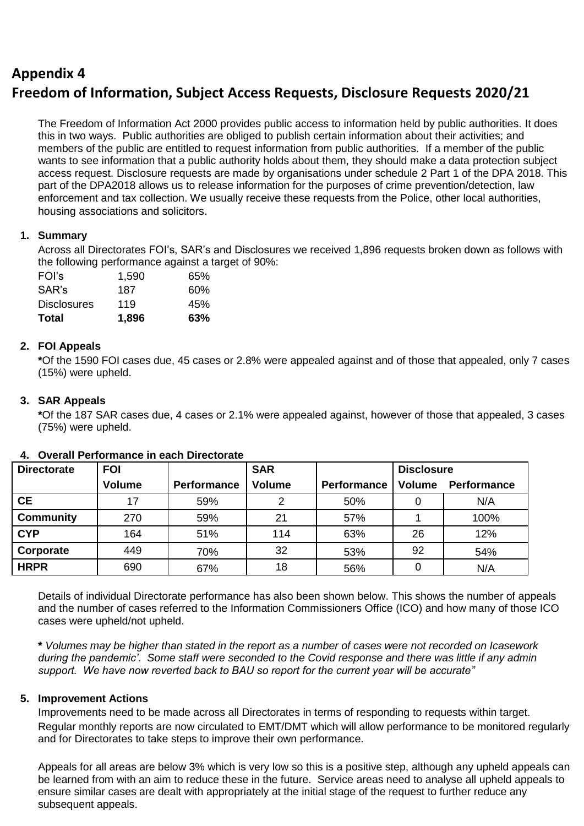## **Appendix 4 Freedom of Information, Subject Access Requests, Disclosure Requests 2020/21**

The Freedom of Information Act 2000 provides public access to information held by public authorities. It does this in two ways. Public authorities are obliged to publish certain information about their activities; and members of the public are entitled to request information from public authorities. If a member of the public wants to see information that a public authority holds about them, they should make a data protection subject access request. Disclosure requests are made by organisations under schedule 2 Part 1 of the DPA 2018. This part of the DPA2018 allows us to release information for the purposes of crime prevention/detection, law enforcement and tax collection. We usually receive these requests from the Police, other local authorities, housing associations and solicitors.

## **1. Summary**

Across all Directorates FOI's, SAR's and Disclosures we received 1,896 requests broken down as follows with the following performance against a target of 90%:

| FOI's              | 1,590 | 65% |
|--------------------|-------|-----|
| SAR's              | 187   | 60% |
| <b>Disclosures</b> | 119   | 45% |
| Total              | 1,896 | 63% |

## **2. FOI Appeals**

**\***Of the 1590 FOI cases due, 45 cases or 2.8% were appealed against and of those that appealed, only 7 cases (15%) were upheld.

## **3. SAR Appeals**

**\***Of the 187 SAR cases due, 4 cases or 2.1% were appealed against, however of those that appealed, 3 cases (75%) were upheld.

| <b>Directorate</b> | <b>FOI</b>    |             | <b>SAR</b>    |             | <b>Disclosure</b> |             |
|--------------------|---------------|-------------|---------------|-------------|-------------------|-------------|
|                    | <b>Volume</b> | Performance | <b>Volume</b> | Performance | Volume            | Performance |
| <b>CE</b>          | 17            | 59%         | ⌒             | 50%         |                   | N/A         |
| <b>Community</b>   | 270           | 59%         | 21            | 57%         |                   | 100%        |
| <b>CYP</b>         | 164           | 51%         | 114           | 63%         | 26                | 12%         |
| Corporate          | 449           | 70%         | 32            | 53%         | 92                | 54%         |
| <b>HRPR</b>        | 690           | 67%         | 18            | 56%         |                   | N/A         |

## **4. Overall Performance in each Directorate**

Details of individual Directorate performance has also been shown below. This shows the number of appeals and the number of cases referred to the Information Commissioners Office (ICO) and how many of those ICO cases were upheld/not upheld.

**\*** *Volumes may be higher than stated in the report as a number of cases were not recorded on Icasework during the pandemic'*. *Some staff were seconded to the Covid response and there was little if any admin support. We have now reverted back to BAU so report for the current year will be accurate"*

## **5. Improvement Actions**

Improvements need to be made across all Directorates in terms of responding to requests within target. Regular monthly reports are now circulated to EMT/DMT which will allow performance to be monitored regularly and for Directorates to take steps to improve their own performance.

Appeals for all areas are below 3% which is very low so this is a positive step, although any upheld appeals can be learned from with an aim to reduce these in the future. Service areas need to analyse all upheld appeals to ensure similar cases are dealt with appropriately at the initial stage of the request to further reduce any subsequent appeals.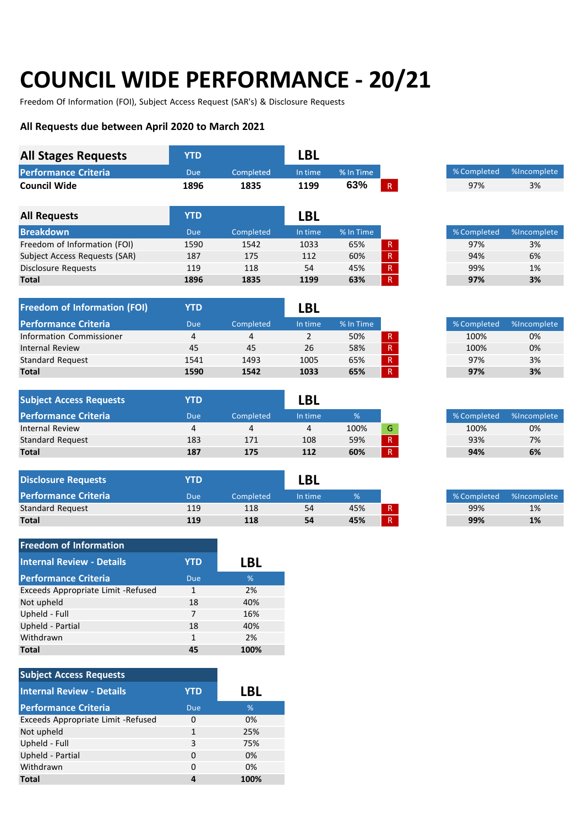# **COUNCIL WIDE PERFORMANCE - 20/21**

Freedom Of Information (FOI), Subject Access Request (SAR's) & Disclosure Requests

#### **All Requests due between April 2020 to March 2021**

| <b>All Stages Requests</b>          | <b>YTD</b>              |            | <b>LBL</b>     |             |                          |             |             |
|-------------------------------------|-------------------------|------------|----------------|-------------|--------------------------|-------------|-------------|
| <b>Performance Criteria</b>         | <b>Due</b>              | Completed  | In time        | $%$ In Time |                          | % Completed | %Incomplete |
| <b>Council Wide</b>                 | 1896                    | 1835       | 1199           | 63%         | R <sub>1</sub>           | 97%         | 3%          |
| <b>All Requests</b>                 | <b>YTD</b>              |            | <b>LBL</b>     |             |                          |             |             |
| <b>Breakdown</b>                    | <b>Due</b>              | Completed  | In time        | % In Time   |                          | % Completed | %Incomplete |
| Freedom of Information (FOI)        | 1590                    | 1542       | 1033           | 65%         | R                        | 97%         | 3%          |
| Subject Access Requests (SAR)       | 187                     | 175        | 112            | 60%         | $\vert R \vert$          | 94%         | 6%          |
| Disclosure Requests                 | 119                     | 118        | 54             | 45%         | $\vert \mathsf{R} \vert$ | 99%         | 1%          |
| <b>Total</b>                        | 1896                    | 1835       | 1199           | 63%         | R                        | 97%         | 3%          |
| <b>Freedom of Information (FOI)</b> | <b>YTD</b>              |            | <b>LBL</b>     |             |                          |             |             |
| <b>Performance Criteria</b>         | <b>Due</b>              | Completed  | In time        | % In Time   |                          | % Completed | %Incomplete |
| Information Commissioner            | $\overline{4}$          | 4          | $\overline{2}$ | 50%         | $\mathsf R$              | 100%        | 0%          |
| <b>Internal Review</b>              | 45                      | 45         | 26             | 58%         | $\mathsf R$              | 100%        | 0%          |
| <b>Standard Request</b>             | 1541                    | 1493       | 1005           | 65%         | $\mathsf R$              | 97%         | 3%          |
| <b>Total</b>                        | 1590                    | 1542       | 1033           | 65%         | R                        | 97%         | 3%          |
| <b>Subject Access Requests</b>      | <b>YTD</b>              |            | <b>LBL</b>     |             |                          |             |             |
| <b>Performance Criteria</b>         | <b>Due</b>              | Completed  | In time        | $\%$        |                          | % Completed | %Incomplete |
| <b>Internal Review</b>              | $\overline{4}$          | 4          | 4              | 100%        | G                        | 100%        | 0%          |
| Standard Request                    | 183                     | 171        | 108            | 59%         | $\vert \mathsf{R} \vert$ | 93%         | 7%          |
| <b>Total</b>                        | 187                     | 175        | 112            | 60%         | R                        | 94%         | 6%          |
| <b>Disclosure Requests</b>          | <b>YTD</b>              |            | <b>LBL</b>     |             |                          |             |             |
| <b>Performance Criteria</b>         | <b>Due</b>              | Completed  | In time        | $\%$        |                          | % Completed | %Incomplete |
| <b>Standard Request</b>             | 119                     | 118        | 54             | 45%         | R                        | 99%         | 1%          |
| <b>Total</b>                        | 119                     | 118        | 54             | 45%         | R                        | 99%         | 1%          |
| <b>Freedom of Information</b>       |                         |            |                |             |                          |             |             |
| <b>Internal Review - Details</b>    | <b>YTD</b>              | <b>LBL</b> |                |             |                          |             |             |
| <b>Performance Criteria</b>         | <b>Due</b>              | $\%$       |                |             |                          |             |             |
| Exceeds Appropriate Limit -Refused  | $1\,$                   | $2\%$      |                |             |                          |             |             |
| Not upheld                          | 18                      | 40%        |                |             |                          |             |             |
| Upheld - Full                       | $\overline{7}$          | 16%        |                |             |                          |             |             |
| Upheld - Partial                    | 18                      | 40%        |                |             |                          |             |             |
| Withdrawn                           | $\mathbf{1}$            | 2%         |                |             |                          |             |             |
| <b>Total</b>                        | 45                      | 100%       |                |             |                          |             |             |
| <b>Subject Access Requests</b>      |                         |            |                |             |                          |             |             |
| <b>Internal Review - Details</b>    | <b>YTD</b>              | <b>LBL</b> |                |             |                          |             |             |
| <b>Performance Criteria</b>         | <b>Due</b>              | $\%$       |                |             |                          |             |             |
| Exceeds Appropriate Limit -Refused  | $\mathbf 0$             | 0%         |                |             |                          |             |             |
| Not upheld                          | $\mathbf{1}$            | 25%        |                |             |                          |             |             |
| Upheld - Full                       | 3                       | 75%        |                |             |                          |             |             |
| Upheld - Partial                    | $\pmb{0}$               | 0%         |                |             |                          |             |             |
| Withdrawn                           | $\mathbf 0$             | 0%         |                |             |                          |             |             |
| <b>Total</b>                        | $\overline{\mathbf{4}}$ | 100%       |                |             |                          |             |             |
|                                     |                         |            |                |             |                          |             |             |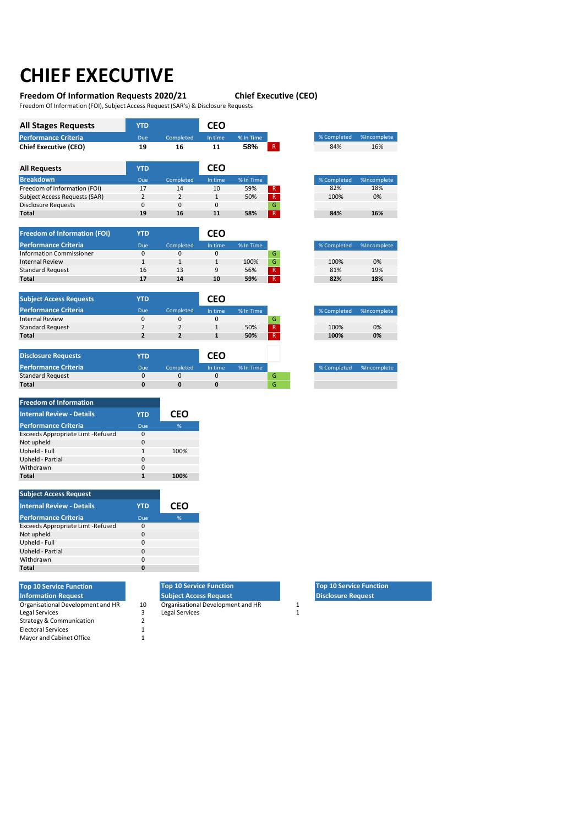# **CHIEF EXECUTIVE**

### **Freedom Of Information Requests 2020/21 Chief Executive (CEO)**

Freedom Of Information (FOI), Subject Access Request(SAR's) & Disclosure Requests

| <b>All Stages Requests</b>    | <b>YTD</b>     |                | <b>CEO</b>   |           |   |             |
|-------------------------------|----------------|----------------|--------------|-----------|---|-------------|
| <b>Performance Criteria</b>   | <b>Due</b>     | Completed      | In time      | % In Time |   | % Completed |
| <b>Chief Executive (CEO)</b>  | 19             | 16             | 11           | 58%       | R | 84%         |
|                               |                |                |              |           |   |             |
| <b>All Requests</b>           | <b>YTD</b>     |                | <b>CEO</b>   |           |   |             |
| <b>Breakdown</b>              | <b>Due</b>     | Completed      | In time      | % In Time |   | % Completed |
| Freedom of Information (FOI)  | 17             | 14             | 10           | 59%       | R | 82%         |
|                               |                |                |              |           |   |             |
| Subject Access Requests (SAR) | $\overline{2}$ | $\overline{2}$ | $\mathbf{1}$ | 50%       | R | 100%        |
| <b>Disclosure Requests</b>    | 0              | 0              | 0            |           | G |             |

| <b>Freedom of Information (FOI)</b> | YTD |           | CEO     |           |              |
|-------------------------------------|-----|-----------|---------|-----------|--------------|
| <b>Performance Criteria</b>         | Due | Completed | In time | % In Time |              |
| <b>Information Commissioner</b>     | 0   |           |         |           | G            |
| <b>Internal Review</b>              |     |           |         | 100%      | G            |
| <b>Standard Request</b>             | 16  | 13        | q       | 56%       | $\mathsf R$  |
| <b>Total</b>                        | 17  | 14        | 10      | 59%       | $\mathsf{R}$ |
|                                     |     |           |         |           |              |

| <b>Subject Access Requests</b> | YTD |           | CFO     |           |             |
|--------------------------------|-----|-----------|---------|-----------|-------------|
| <b>Performance Criteria</b>    | Due | Completed | In time | % In Time |             |
| <b>Internal Review</b>         | 0   |           |         |           | G           |
| <b>Standard Request</b>        |     |           |         | 50%       | $\mathsf R$ |
| <b>Total</b>                   |     |           |         | 50%       | $\mathsf R$ |
|                                |     |           |         |           |             |

| <b>Disclosure Requests</b>  | YTD |           | CEO     |           |    |
|-----------------------------|-----|-----------|---------|-----------|----|
| <b>Performance Criteria</b> | Due | Completed | In time | % In Time |    |
| <b>Standard Request</b>     |     |           |         |           | 6  |
| <b>Total</b>                |     |           |         |           | ۰. |

| % Completed | %Incomplete |
|-------------|-------------|
| 82%         | 18%         |
| 100%        | 0%          |
|             |             |
| 84%         | 16%         |

| % Completed | %Incomplete |
|-------------|-------------|
|             |             |
| 100%        | $0\%$       |
| 81%         | 19%         |
| 82%         | 18%         |
|             |             |

| % Completed | %Incomplete |
|-------------|-------------|
|             |             |
| 100%        | 0%          |
| 100%        | 0%          |
|             |             |

| <b>Freedom of Information</b>            |              |            |
|------------------------------------------|--------------|------------|
| <b>Internal Review - Details</b>         | <b>YTD</b>   | <b>CEO</b> |
| <b>Performance Criteria</b>              | Due          | %          |
| <b>Exceeds Appropriate Limt -Refused</b> | <sup>0</sup> |            |
| Not upheld                               | $\Omega$     |            |
| Upheld - Full                            | $\mathbf{1}$ | 100%       |
| Upheld - Partial                         | <sup>0</sup> |            |
| Withdrawn                                | <sup>0</sup> |            |
| Total                                    |              | 100%       |

| <b>Subject Access Request</b>     |            |     |
|-----------------------------------|------------|-----|
| <b>Internal Review - Details</b>  | <b>YTD</b> | CEO |
| <b>Performance Criteria</b>       | Due        | %   |
| Exceeds Appropriate Limt -Refused | O          |     |
| Not upheld                        | $\Omega$   |     |
| Upheld - Full                     | 0          |     |
| Upheld - Partial                  | O          |     |
| Withdrawn                         | O          |     |
| Total                             |            |     |

| <b>Top 10 Service Function</b>    |    | <b>Top 10 Service Function</b>    |              |
|-----------------------------------|----|-----------------------------------|--------------|
| <b>Information Request</b>        |    | <b>Subject Access Request</b>     |              |
| Organisational Development and HR | 10 | Organisational Development and HR | 1            |
| Legal Services                    |    | <b>Legal Services</b>             | $\mathbf{1}$ |
| Strategy & Communication          |    |                                   |              |
| <b>Electoral Services</b>         |    |                                   |              |
| Mayor and Cabinet Office          |    |                                   |              |

**Top 10 Service Function Subject Access Request**

% Completed %Incomplete

**Top 10 Service Function Disclosure Request**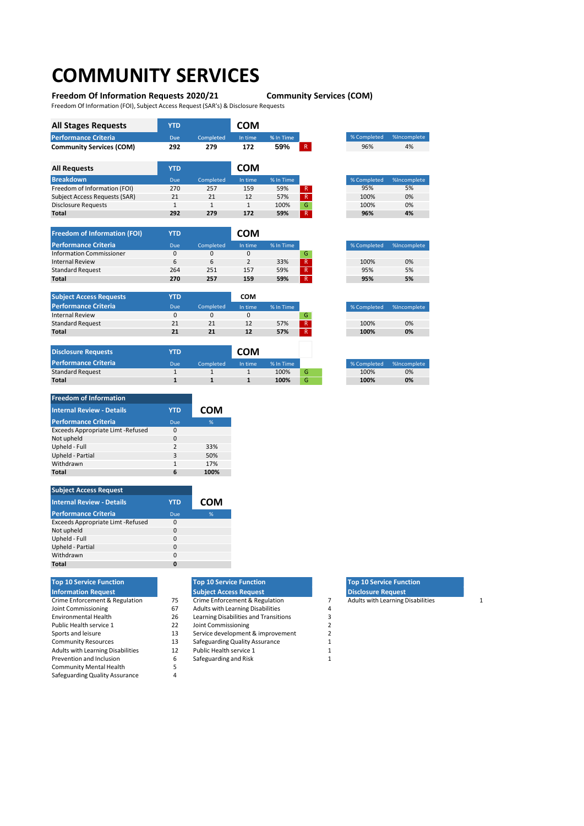## **COMMUNITY SERVICES**

#### **Freedom Of Information Requests 2020/21 Community Services (COM)**

Freedom Of Information (FOI), Subject Access Request(SAR's) & Disclosure Requests

| <b>All Stages Requests</b>           | <b>YTD</b> |           | COM          |           |              |             |             |
|--------------------------------------|------------|-----------|--------------|-----------|--------------|-------------|-------------|
| <b>Performance Criteria</b>          | <b>Due</b> | Completed | In time      | % In Time |              | % Completed | %Incomplete |
| <b>Community Services (COM)</b>      | 292        | 279       | 172          | 59%       | $\mathsf R$  | 96%         | 4%          |
| <b>All Requests</b>                  | <b>YTD</b> |           | <b>COM</b>   |           |              |             |             |
| <b>Breakdown</b>                     | <b>Due</b> | Completed | In time      | % In Time |              | % Completed | %Incomplete |
| Freedom of Information (FOI)         | 270        | 257       | 159          | 59%       | R            | 95%         | 5%          |
| <b>Subject Access Requests (SAR)</b> | 21         | 21        | 12           | 57%       | $\mathsf{R}$ | 100%        | 0%          |
| <b>Disclosure Requests</b>           |            |           | $\mathbf{1}$ | 100%      | G            | 100%        | 0%          |
| <b>Total</b>                         | 292        | 279       | 172          | 59%       | $\mathsf R$  | 96%         | 4%          |

| <b>Freedom of Information (FOI)</b> | <b>YTD</b> |           | COM     |           |                |
|-------------------------------------|------------|-----------|---------|-----------|----------------|
| <b>Performance Criteria</b>         | Due        | Completed | In time | % In Time |                |
| <b>Information Commissioner</b>     | 0          |           |         |           | G              |
| <b>Internal Review</b>              | 6          |           |         | 33%       | $\mathsf{R}$   |
| <b>Standard Request</b>             | 264        | 251       | 157     | 59%       | ۱R'            |
| <b>Total</b>                        | 270        | 257       | 159     | 59%       | $\overline{R}$ |

| <b>Subject Access Requests</b> | <b>YTD</b> |           | сом     |           |   |
|--------------------------------|------------|-----------|---------|-----------|---|
| <b>Performance Criteria</b>    | Due        | Completed | In time | % In Time |   |
| <b>Internal Review</b>         |            |           |         |           |   |
| <b>Standard Request</b>        | 21         | 21        | 12      | 57%       |   |
| Total                          | 21         | 21        | 12      | 57%       | R |

| <b>Disclosure Requests</b>  | YTD |           | <b>COM</b> |           |   |
|-----------------------------|-----|-----------|------------|-----------|---|
| <b>Performance Criteria</b> | Due | Completed | In time    | % In Time |   |
| <b>Standard Request</b>     |     |           |            | 100%      | G |
| Total                       |     |           |            | 100%      | G |

| <b>Freedom of Information</b>     |                |            |
|-----------------------------------|----------------|------------|
| <b>Internal Review - Details</b>  | <b>YTD</b>     | <b>COM</b> |
| <b>Performance Criteria</b>       | Due            | %          |
| Exceeds Appropriate Limt -Refused | 0              |            |
| Not upheld                        | $\Omega$       |            |
| Upheld - Full                     | $\overline{2}$ | 33%        |
| Upheld - Partial                  | 3              | 50%        |
| Withdrawn                         | 1              | 17%        |
| Total                             | 6              | 100%       |

| <b>Subject Access Request</b>     |            |     |
|-----------------------------------|------------|-----|
| <b>Internal Review - Details</b>  | <b>YTD</b> | COM |
| <b>Performance Criteria</b>       | Due        | %   |
| Exceeds Appropriate Limt -Refused | 0          |     |
| Not upheld                        | $\Omega$   |     |
| Upheld - Full                     | 0          |     |
| Upheld - Partial                  | $\Omega$   |     |
| Withdrawn                         | $\Omega$   |     |
| Total                             | 0          |     |

|    | <b>Top 10 Service Function</b>           |   | <b>Top 10 Service Function</b>           |  |
|----|------------------------------------------|---|------------------------------------------|--|
|    | <b>Subject Access Request</b>            |   | <b>Disclosure Request</b>                |  |
| 75 | Crime Enforcement & Regulation           |   | <b>Adults with Learning Disabilities</b> |  |
| 67 | <b>Adults with Learning Disabilities</b> | 4 |                                          |  |
| 26 | Learning Disabilities and Transitions    |   |                                          |  |
| 22 | Joint Commissioning                      |   |                                          |  |
| 13 | Service development & improvement        |   |                                          |  |
| 13 | Safeguarding Quality Assurance           |   |                                          |  |
| 12 | Public Health service 1                  |   |                                          |  |
| 6  | Safeguarding and Risk                    |   |                                          |  |
|    |                                          |   |                                          |  |
| 4  |                                          |   |                                          |  |
|    |                                          |   |                                          |  |

|      | <b>Top 10 Service Function</b>            |  |
|------|-------------------------------------------|--|
|      | <b>Subject Access Request</b>             |  |
| ---- | $\sim$ $\sim$ $\sim$ $\sim$ $\sim$ $\sim$ |  |

- 
- 1999 Adults with Learning Disabilities<br>
26 Learning Disabilities and Transitions 3 26 Learning Disabilities and Transitions 3<br>22 Joint Commissioning 3
- 
- Public League 1 2<br>
Public Health service development & improvement<br>
2
- Service development & improvement 2<br>13 Safeguarding Quality Assurance 1 13 Safeguarding Quality Assurance 1<br>12 Public Health service 1 1
- 12 Public Health service 1 1<br>
12 Bublic Health service 1 1<br>
12 Safeguarding and Risk 1
- 6 Safeguarding and Risk<br>5
- 

| <b>Top 10 Service Function</b> |
|--------------------------------|
| <b>Disclosure Request</b>      |

% Completed %Incomplete

100% 0%<br>95% 5% 95% 5%

% Completed %Incomplete<br>100% 0%  $\begin{array}{cc} 100\% & 0\% \\ 100\% & 0\% \end{array}$ 

**95% 5%**

**100% 0%**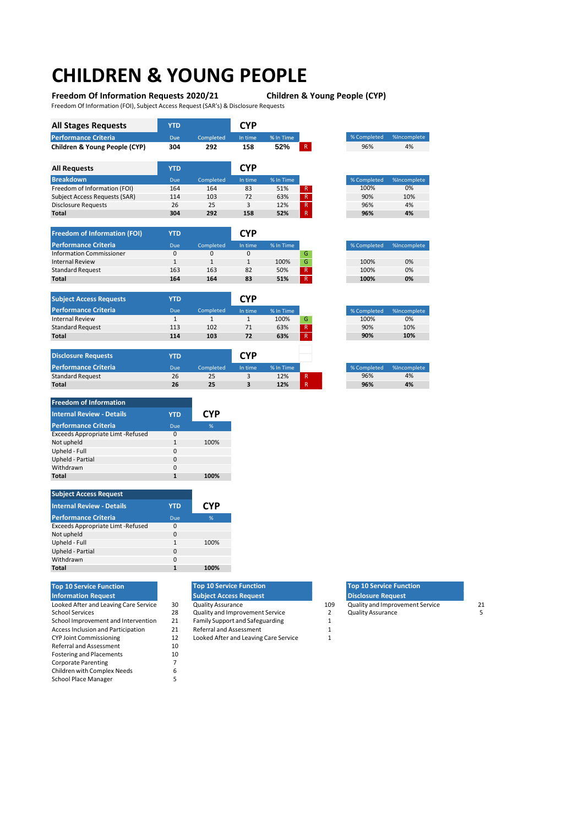## **CHILDREN & YOUNG PEOPLE**

**Freedom Of Information Requests 2020/21 Children & Young People (CYP)**

Freedom Of Information (FOI), Subject Access Request(SAR's) & Disclosure Requests

| <b>All Stages Requests</b>    | <b>YTD</b> |           | CYP        |           |              |             |             |
|-------------------------------|------------|-----------|------------|-----------|--------------|-------------|-------------|
| <b>Performance Criteria</b>   | <b>Due</b> | Completed | In time    | % In Time |              | % Completed | %Incomplete |
| Children & Young People (CYP) | 304        | 292       | 158        | 52%       | $\mathsf{R}$ | 96%         | 4%          |
| <b>All Requests</b>           | <b>YTD</b> |           | <b>CYP</b> |           |              |             |             |
| <b>Breakdown</b>              | <b>Due</b> | Completed | In time    | % In Time |              | % Completed | %Incomplete |
| Freedom of Information (FOI)  | 164        | 164       | 83         | 51%       | R            | 100%        | 0%          |
| Subject Access Requests (SAR) | 114        | 103       | 72         | 63%       | R            | 90%         | 10%         |
| <b>Disclosure Requests</b>    | 26         | 25        | 3          | 12%       | R            | 96%         | 4%          |
| Total                         | 304        | 292       | 158        | 52%       | $\mathsf{R}$ | 96%         | 4%          |

| <b>Freedom of Information (FOI)</b> | YTD        |           | <b>CYP</b> |           |                |
|-------------------------------------|------------|-----------|------------|-----------|----------------|
| <b>Performance Criteria</b>         | <b>Due</b> | Completed | In time    | % In Time |                |
| <b>Information Commissioner</b>     |            |           | $\Omega$   |           |                |
| <b>Internal Review</b>              |            |           |            | 100%      |                |
| <b>Standard Request</b>             | 163        | 163       | 82         | 50%       | $\overline{R}$ |
| <b>Total</b>                        | 164        | 164       | 83         | 51%       | $\overline{R}$ |

**Total 26 25 3 12%** R

|              |           | $\sim$     | 10001     | $\sim$       |
|--------------|-----------|------------|-----------|--------------|
| Due          | Completed | In time    | % In Time |              |
| <b>YTD</b>   |           | <b>CYP</b> |           |              |
| 164          | 164       | 83         | 51%       | $\mathsf{R}$ |
| 163          | 163       | 82         | 50%       | $\mathsf{R}$ |
| $\mathbf{1}$ |           |            | 100%      | G            |
|              |           |            |           |              |

| <b>Internal Review</b>      |            |           |            | 100%      | G           | 100%        |  |
|-----------------------------|------------|-----------|------------|-----------|-------------|-------------|--|
| <b>Standard Request</b>     | 113        | 102       | 71         | 63%       | R           | 90%         |  |
| <b>Total</b>                | 114        | 103       | 72         | 63%       | R           | 90%         |  |
|                             |            |           |            |           |             |             |  |
| <b>Disclosure Requests</b>  | <b>YTD</b> |           | <b>CYP</b> |           |             |             |  |
| <b>Performance Criteria</b> | <b>Due</b> | Completed | In time    | % In Time |             | % Completed |  |
| <b>Standard Request</b>     | 26         | 25        | 3          | 12%       | R           | 96%         |  |
| <b>Total</b>                | 26         | 25        | 3          | 12%       | $\mathsf R$ | 96%         |  |

| <b>Freedom of Information</b>            |              |            |
|------------------------------------------|--------------|------------|
| <b>Internal Review - Details</b>         | <b>YTD</b>   | <b>CYP</b> |
| <b>Performance Criteria</b>              | Due          | %          |
| <b>Exceeds Appropriate Limt -Refused</b> | 0            |            |
| Not upheld                               | $\mathbf{1}$ | 100%       |
| Upheld - Full                            | 0            |            |
| Upheld - Partial                         | O            |            |
| Withdrawn                                | 0            |            |
| Total                                    |              | 100%       |

| <b>Subject Access Request</b>      |          |            |
|------------------------------------|----------|------------|
| <b>Internal Review - Details</b>   | YTD      | <b>CYP</b> |
| <b>Performance Criteria</b>        | Due      | %          |
| Exceeds Appropriate Limt - Refused | $\Omega$ |            |
| Not upheld                         | $\Omega$ |            |
| Upheld - Full                      | 1        | 100%       |
| Upheld - Partial                   | $\Omega$ |            |
| Withdrawn                          | $\Omega$ |            |
| Total                              |          | 100%       |

#### **Top 10 Service Function Information Request**

**Subject Access Requests Performance Criteria** 

| LOOKED ATLET ATTU LEAVING CATE SEI VICE   | οU |
|-------------------------------------------|----|
| School Services                           | 28 |
| School Improvement and Intervention       | 21 |
| <b>Access Inclusion and Participation</b> | 21 |
| <b>CYP Joint Commissioning</b>            | 12 |
| Referral and Assessment                   | 10 |
| <b>Fostering and Placements</b>           | 10 |
| <b>Corporate Parenting</b>                |    |
| Children with Complex Needs               | 6  |
| <b>School Place Manager</b>               | 5  |
|                                           |    |

#### **Top 10 Service Function Subject Access Request**

- 
- Quality and Improvement Service 2<br>
2<br>
Family Support and Safeguarding 2

21 Family Support and Safeguarding 1<br>21 Referral and Assessment 1

21 Referral and Assessment 1<br>12 Looked After and Leaving Care Service 1 12 Looked After and Leaving Care Service<br>10

|    | <b>Top 10 Service Function</b>  |     | <b>Top 10 Service Function</b>  |    |
|----|---------------------------------|-----|---------------------------------|----|
|    | <b>Subject Access Request</b>   |     | <b>Disclosure Request</b>       |    |
| 30 | <b>Quality Assurance</b>        | 109 | Quality and Improvement Service | 21 |
| 28 | Quality and Improvement Service |     | <b>Quality Assurance</b>        |    |
| 21 | Family Support and Safeguarding |     |                                 |    |

% Completed %Incomplete

icomplete  $\overline{0\%}$ 90% 10% **90% 10%**

Incomplete  $\frac{4\%}{4\%}$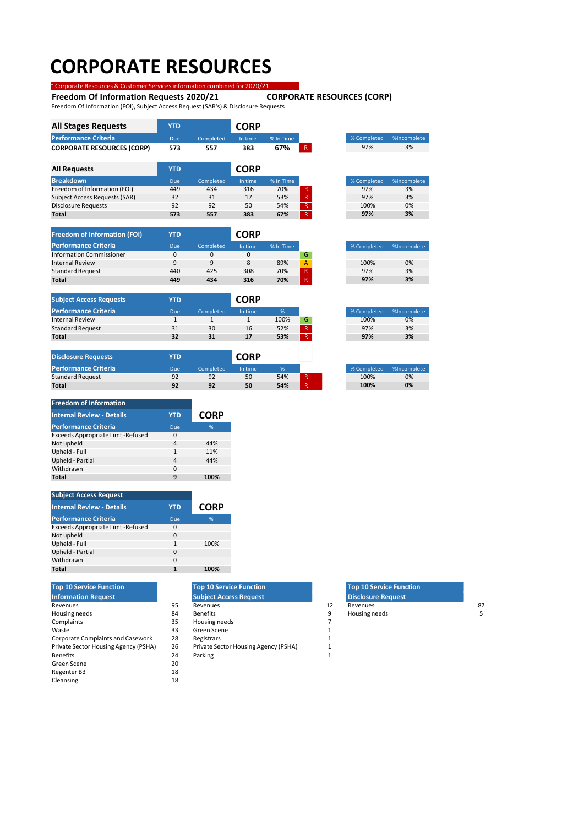## **CORPORATE RESOURCES**  \* Corporate Resources & Customer Servicesinformation combined for 2020/21

## **Freedom Of Information Requests 2020/21 CORPORATE RESOURCES (CORP)**

Freedom Of Information (FOI), Subject Access Request(SAR's) & Disclosure Requests

| <b>All Stages Requests</b>           | <b>YTD</b> |           | <b>CORP</b> |           |   |             |             |
|--------------------------------------|------------|-----------|-------------|-----------|---|-------------|-------------|
| <b>Performance Criteria</b>          | Due        | Completed | In time     | % In Time |   | % Completed | %Incomplete |
| <b>CORPORATE RESOURCES (CORP)</b>    | 573        | 557       | 383         | 67%       | R | 97%         | 3%          |
| <b>All Requests</b>                  | <b>YTD</b> |           | <b>CORP</b> |           |   |             |             |
| <b>Breakdown</b>                     | <b>Due</b> | Completed | In time     | % In Time |   | % Completed | %Incomplete |
| Freedom of Information (FOI)         | 449        | 434       | 316         | 70%       | R | 97%         | 3%          |
| <b>Subject Access Requests (SAR)</b> | 32         | 31        | 17          | 53%       | R | 97%         | 3%          |
| <b>Disclosure Requests</b>           | 92         | 92        | 50          | 54%       | R | 100%        | 0%          |
| Total                                | 573        | 557       | 383         | 67%       | R | 97%         | 3%          |

| <b>Freedom of Information (FOI)</b> | YTD      |           | <b>CORP</b> |           |                |
|-------------------------------------|----------|-----------|-------------|-----------|----------------|
| <b>Performance Criteria</b>         | Due      | Completed | In time     | % In Time |                |
| <b>Information Commissioner</b>     | $\Omega$ |           |             |           | G              |
| <b>Internal Review</b>              | q        | q         |             | 89%       | $\overline{A}$ |
| <b>Standard Request</b>             | 440      | 425       | 308         | 70%       | $\mathsf{R}$   |
| <b>Total</b>                        | 449      | 434       | 316         | 70%       | $\mathsf{R}$   |

**Total 573 557 383 67%** R

| <b>Subject Access Requests</b> | <b>YTD</b> |           | <b>CORP</b> |      |   |
|--------------------------------|------------|-----------|-------------|------|---|
| Performance Criteria           | Due        | Completed | In time     | %    |   |
| <b>Internal Review</b>         |            |           |             | 100% | G |
| <b>Standard Request</b>        | 31         | 30        | 16          | 52%  | R |
| <b>Total</b>                   | 32         | 31        | 17          | 53%  | R |
|                                |            |           |             |      |   |

| <b>Disclosure Requests</b>  | YTD |           | <b>CORP</b> |     |  |             |           |
|-----------------------------|-----|-----------|-------------|-----|--|-------------|-----------|
| <b>Performance Criteria</b> | Due | Completed | In time     | %'  |  | % Completed | %Incomple |
| <b>Standard Request</b>     | 92  | 92        | 50          | 54% |  | 100%        | 0%        |
| <b>Total</b>                | 92  | 92        | 50          | 54% |  | 100%        | 0%        |

| <b>Freedom of Information</b>     |                |             |
|-----------------------------------|----------------|-------------|
| <b>Internal Review - Details</b>  | <b>YTD</b>     | <b>CORP</b> |
| <b>Performance Criteria</b>       | Due            | %           |
| Exceeds Appropriate Limt -Refused | 0              |             |
| Not upheld                        | 4              | 44%         |
| Upheld - Full                     | 1              | 11%         |
| Upheld - Partial                  | $\overline{4}$ | 44%         |
| Withdrawn                         | $\Omega$       |             |
| Total                             | q              | 100%        |

| <b>Subject Access Request</b>      |            |             |
|------------------------------------|------------|-------------|
| <b>Internal Review - Details</b>   | <b>YTD</b> | <b>CORP</b> |
| <b>Performance Criteria</b>        | Due        | %           |
| Exceeds Appropriate Limt - Refused | 0          |             |
| Not upheld                         | $\Omega$   |             |
| Upheld - Full                      | 1          | 100%        |
| Upheld - Partial                   | $\Omega$   |             |
| Withdrawn                          | $\Omega$   |             |
| Total                              | 1          | 100%        |

Corporate Complaints and Casework 28 Registrars 1<br>
26 Private Sector Housing Agency (PSHA) 26 Private Sector Housing Agency (PSHA) 1 Private Sector Housing Agency (PSHA) 26 Private Sector Housing Agency (PSHA) 1 Benefits **24 Parking 1** 24 Parking 1 Green Scene 20<br>Regenter B3 18 Regenter B3 18<br>Cleansing 18 Cleansing **Top 10 Service Function Information Request**

| <b>Top 10 Service Function</b>       |    | <b>Top 10 Service Function</b>       |    | <b>Top 10 Service Function</b> |   |
|--------------------------------------|----|--------------------------------------|----|--------------------------------|---|
| <b>Information Request</b>           |    | <b>Subject Access Request</b>        |    | <b>Disclosure Request</b>      |   |
| Revenues                             | 95 | Revenues                             | 12 | Revenues                       | 8 |
| Housing needs                        | 84 | <b>Benefits</b>                      | 9  | Housing needs                  |   |
| Complaints                           | 35 | Housing needs                        |    |                                |   |
| Waste                                | 33 | Green Scene                          |    |                                |   |
| Corporate Complaints and Casework    | 28 | Registrars                           |    |                                |   |
| Private Sector Housing Agency (PSHA) | 26 | Private Sector Housing Agency (PSHA) |    |                                |   |

- 
- -

| <b>Top 10 Service Function</b> |    | <b>Top 10 Service Function</b> | <b>Top 10 Service Function</b> |  |
|--------------------------------|----|--------------------------------|--------------------------------|--|
| <b>Information Request</b>     |    | <b>Subject Access Request</b>  | <b>Disclosure Request</b>      |  |
| Revenues                       | ۵ς | Revenues                       | Revenues                       |  |
| Housing needs                  |    | <b>Benefits</b>                | Housing needs                  |  |

| % Completed | %Incomplete |
|-------------|-------------|
| 100%        | $0\%$       |

% Completed %Incomplete 100% 0%<br>97% 3% 97% 3%

**97% 3%**